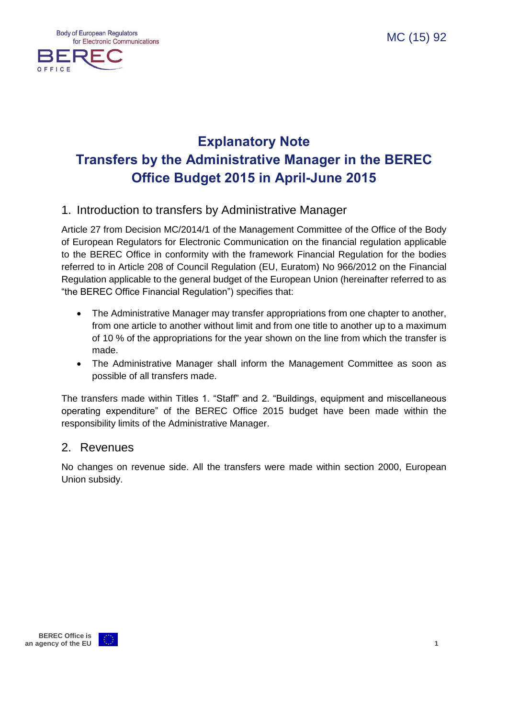

# **Explanatory Note Transfers by the Administrative Manager in the BEREC Office Budget 2015 in April-June 2015**

### 1. Introduction to transfers by Administrative Manager

Article 27 from Decision MC/2014/1 of the Management Committee of the Office of the Body of European Regulators for Electronic Communication on the financial regulation applicable to the BEREC Office in conformity with the framework Financial Regulation for the bodies referred to in Article 208 of Council Regulation (EU, Euratom) No 966/2012 on the Financial Regulation applicable to the general budget of the European Union (hereinafter referred to as "the BEREC Office Financial Regulation") specifies that:

- The Administrative Manager may transfer appropriations from one chapter to another, from one article to another without limit and from one title to another up to a maximum of 10 % of the appropriations for the year shown on the line from which the transfer is made.
- The Administrative Manager shall inform the Management Committee as soon as possible of all transfers made.

The transfers made within Titles 1. "Staff" and 2. "Buildings, equipment and miscellaneous operating expenditure" of the BEREC Office 2015 budget have been made within the responsibility limits of the Administrative Manager.

#### 2. Revenues

No changes on revenue side. All the transfers were made within section 2000, European Union subsidy.

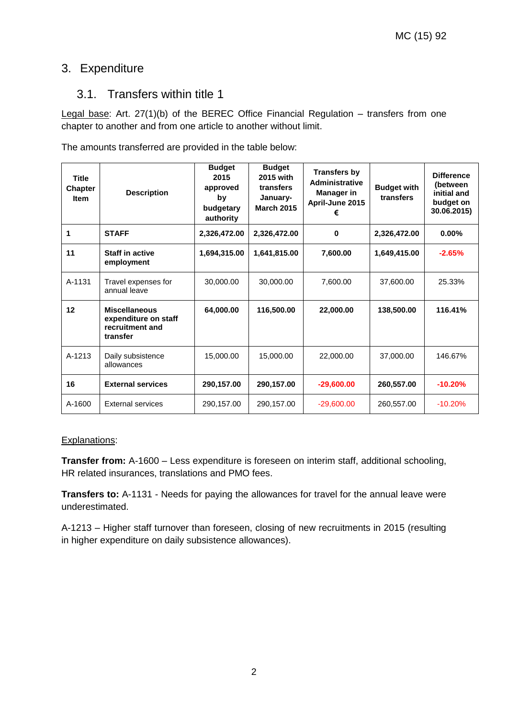## 3. Expenditure

### 3.1. Transfers within title 1

Legal base: Art. 27(1)(b) of the BEREC Office Financial Regulation – transfers from one chapter to another and from one article to another without limit.

The amounts transferred are provided in the table below:

| <b>Title</b><br><b>Chapter</b><br><b>Item</b> | <b>Description</b>                                                          | <b>Budget</b><br>2015<br>approved<br>by<br>budgetary<br>authority | <b>Budget</b><br>2015 with<br>transfers<br>January-<br><b>March 2015</b> | <b>Transfers by</b><br><b>Administrative</b><br><b>Manager in</b><br>April-June 2015<br>€ | <b>Budget with</b><br>transfers | <b>Difference</b><br>(between<br>initial and<br>budget on<br>30.06.2015) |
|-----------------------------------------------|-----------------------------------------------------------------------------|-------------------------------------------------------------------|--------------------------------------------------------------------------|-------------------------------------------------------------------------------------------|---------------------------------|--------------------------------------------------------------------------|
| 1                                             | <b>STAFF</b>                                                                | 2,326,472.00                                                      | 2,326,472.00                                                             | 0                                                                                         | 2,326,472.00                    | $0.00\%$                                                                 |
| 11                                            | <b>Staff in active</b><br>employment                                        | 1,694,315.00                                                      | 1,641,815.00                                                             | 7,600.00                                                                                  | 1,649,415.00                    | $-2.65%$                                                                 |
| A-1131                                        | Travel expenses for<br>annual leave                                         | 30,000.00                                                         | 30,000.00                                                                | 7,600.00                                                                                  | 37,600.00                       | 25.33%                                                                   |
| 12                                            | <b>Miscellaneous</b><br>expenditure on staff<br>recruitment and<br>transfer | 64,000.00                                                         | 116,500.00                                                               | 22,000.00                                                                                 | 138,500.00                      | 116.41%                                                                  |
| A-1213                                        | Daily subsistence<br>allowances                                             | 15,000.00                                                         | 15,000.00                                                                | 22,000.00                                                                                 | 37,000.00                       | 146.67%                                                                  |
| 16                                            | <b>External services</b>                                                    | 290,157.00                                                        | 290,157.00                                                               | $-29,600.00$                                                                              | 260,557.00                      | $-10.20%$                                                                |
| A-1600                                        | <b>External services</b>                                                    | 290,157.00                                                        | 290,157.00                                                               | $-29,600.00$                                                                              | 260,557.00                      | $-10.20%$                                                                |

#### Explanations:

**Transfer from:** A-1600 – Less expenditure is foreseen on interim staff, additional schooling, HR related insurances, translations and PMO fees.

**Transfers to:** A-1131 - Needs for paying the allowances for travel for the annual leave were underestimated.

A-1213 – Higher staff turnover than foreseen, closing of new recruitments in 2015 (resulting in higher expenditure on daily subsistence allowances).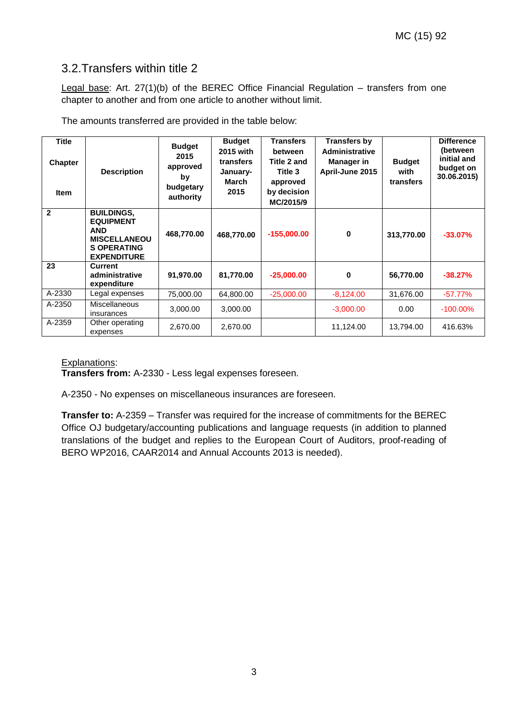## 3.2.Transfers within title 2

Legal base: Art. 27(1)(b) of the BEREC Office Financial Regulation – transfers from one chapter to another and from one article to another without limit.

The amounts transferred are provided in the table below:

| <b>Title</b><br><b>Chapter</b><br><b>Item</b> | <b>Description</b>                                                                                                     | <b>Budget</b><br>2015<br>approved<br>by<br>budgetary<br>authority | <b>Budget</b><br>2015 with<br>transfers<br>January-<br>March<br>2015 | <b>Transfers</b><br>between<br>Title 2 and<br>Title 3<br>approved<br>by decision<br>MC/2015/9 | <b>Transfers by</b><br><b>Administrative</b><br>Manager in<br>April-June 2015 | <b>Budget</b><br>with<br>transfers | <b>Difference</b><br>(between<br>initial and<br>budget on<br>30.06.2015) |
|-----------------------------------------------|------------------------------------------------------------------------------------------------------------------------|-------------------------------------------------------------------|----------------------------------------------------------------------|-----------------------------------------------------------------------------------------------|-------------------------------------------------------------------------------|------------------------------------|--------------------------------------------------------------------------|
| $\overline{2}$                                | <b>BUILDINGS.</b><br><b>EQUIPMENT</b><br><b>AND</b><br><b>MISCELLANEOU</b><br><b>S OPERATING</b><br><b>EXPENDITURE</b> | 468,770.00                                                        | 468,770.00                                                           | $-155,000.00$                                                                                 | $\bf{0}$                                                                      | 313,770.00                         | $-33.07\%$                                                               |
| 23                                            | Current<br>administrative<br>expenditure                                                                               | 91,970.00                                                         | 81,770.00                                                            | $-25,000.00$                                                                                  | $\bf{0}$                                                                      | 56,770.00                          | $-38.27%$                                                                |
| A-2330                                        | Legal expenses                                                                                                         | 75,000.00                                                         | 64,800.00                                                            | $-25,000.00$                                                                                  | $-8,124.00$                                                                   | 31,676.00                          | $-57.77%$                                                                |
| A-2350                                        | <b>Miscellaneous</b><br>insurances                                                                                     | 3,000.00                                                          | 3,000.00                                                             |                                                                                               | $-3,000.00$                                                                   | 0.00                               | $-100.00\%$                                                              |
| A-2359                                        | Other operating<br>expenses                                                                                            | 2,670.00                                                          | 2,670.00                                                             |                                                                                               | 11,124.00                                                                     | 13,794.00                          | 416.63%                                                                  |

#### Explanations:

**Transfers from:** A-2330 - Less legal expenses foreseen.

A-2350 - No expenses on miscellaneous insurances are foreseen.

**Transfer to:** A-2359 – Transfer was required for the increase of commitments for the BEREC Office OJ budgetary/accounting publications and language requests (in addition to planned translations of the budget and replies to the European Court of Auditors, proof-reading of BERO WP2016, CAAR2014 and Annual Accounts 2013 is needed).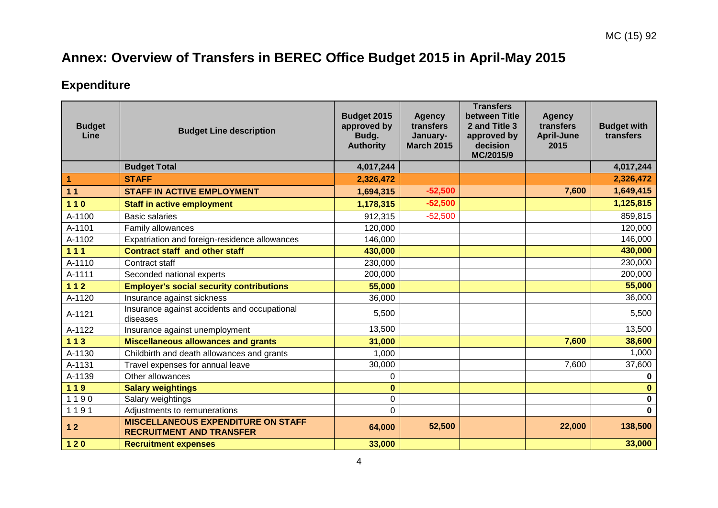# **Annex: Overview of Transfers in BEREC Office Budget 2015 in April-May 2015**

## **Expenditure**

| <b>Budget</b><br>Line | <b>Budget Line description</b>                                               | Budget 2015<br>approved by<br>Budg.<br><b>Authority</b> | <b>Agency</b><br>transfers<br>January-<br><b>March 2015</b> | <b>Transfers</b><br>between Title<br>2 and Title 3<br>approved by<br>decision<br>MC/2015/9 | <b>Agency</b><br>transfers<br><b>April-June</b><br>2015 | <b>Budget with</b><br>transfers |
|-----------------------|------------------------------------------------------------------------------|---------------------------------------------------------|-------------------------------------------------------------|--------------------------------------------------------------------------------------------|---------------------------------------------------------|---------------------------------|
|                       | <b>Budget Total</b>                                                          | 4,017,244                                               |                                                             |                                                                                            |                                                         | 4,017,244                       |
| $\overline{1}$        | <b>STAFF</b>                                                                 | 2,326,472                                               |                                                             |                                                                                            |                                                         | 2,326,472                       |
| 11                    | <b>STAFF IN ACTIVE EMPLOYMENT</b>                                            | 1,694,315                                               | $-52,500$                                                   |                                                                                            | 7,600                                                   | 1,649,415                       |
| $110$                 | <b>Staff in active employment</b>                                            | 1,178,315                                               | $-52,500$                                                   |                                                                                            |                                                         | 1,125,815                       |
| A-1100                | <b>Basic salaries</b>                                                        | 912,315                                                 | $-52,500$                                                   |                                                                                            |                                                         | 859,815                         |
| A-1101                | Family allowances                                                            | 120,000                                                 |                                                             |                                                                                            |                                                         | 120,000                         |
| A-1102                | Expatriation and foreign-residence allowances                                | 146,000                                                 |                                                             |                                                                                            |                                                         | 146,000                         |
| $111$                 | <b>Contract staff and other staff</b>                                        | 430,000                                                 |                                                             |                                                                                            |                                                         | 430,000                         |
| A-1110                | Contract staff                                                               | 230,000                                                 |                                                             |                                                                                            |                                                         | 230,000                         |
| A-1111                | Seconded national experts                                                    | 200,000                                                 |                                                             |                                                                                            |                                                         | 200,000                         |
| $112$                 | <b>Employer's social security contributions</b>                              | 55,000                                                  |                                                             |                                                                                            |                                                         | 55,000                          |
| A-1120                | Insurance against sickness                                                   | 36,000                                                  |                                                             |                                                                                            |                                                         | 36,000                          |
| A-1121                | Insurance against accidents and occupational<br>diseases                     | 5,500                                                   |                                                             |                                                                                            |                                                         | 5,500                           |
| A-1122                | Insurance against unemployment                                               | 13,500                                                  |                                                             |                                                                                            |                                                         | 13,500                          |
| $113$                 | <b>Miscellaneous allowances and grants</b>                                   | 31,000                                                  |                                                             |                                                                                            | 7,600                                                   | 38,600                          |
| A-1130                | Childbirth and death allowances and grants                                   | 1,000                                                   |                                                             |                                                                                            |                                                         | 1,000                           |
| A-1131                | Travel expenses for annual leave                                             | 30,000                                                  |                                                             |                                                                                            | 7,600                                                   | 37,600                          |
| A-1139                | Other allowances                                                             | 0                                                       |                                                             |                                                                                            |                                                         | $\bf{0}$                        |
| 119                   | <b>Salary weightings</b>                                                     | $\bf{0}$                                                |                                                             |                                                                                            |                                                         | $\bf{0}$                        |
| 1190                  | Salary weightings                                                            | 0                                                       |                                                             |                                                                                            |                                                         | $\mathbf 0$                     |
| 1191                  | Adjustments to remunerations                                                 | 0                                                       |                                                             |                                                                                            |                                                         | $\mathbf 0$                     |
| 12                    | <b>MISCELLANEOUS EXPENDITURE ON STAFF</b><br><b>RECRUITMENT AND TRANSFER</b> | 64,000                                                  | 52,500                                                      |                                                                                            | 22,000                                                  | 138,500                         |
| $120$                 | <b>Recruitment expenses</b>                                                  | 33,000                                                  |                                                             |                                                                                            |                                                         | 33,000                          |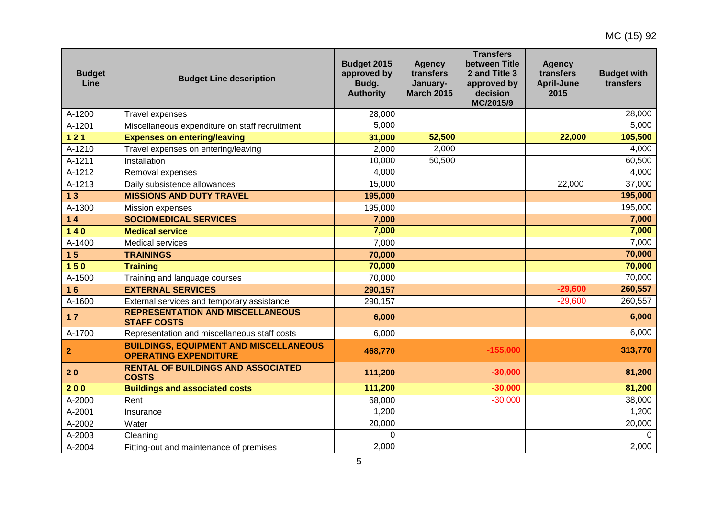| <b>Budget</b><br>Line | <b>Budget Line description</b>                                                | Budget 2015<br>approved by<br>Budg.<br><b>Authority</b> | <b>Agency</b><br>transfers<br>January-<br><b>March 2015</b> | <b>Transfers</b><br>between Title<br>2 and Title 3<br>approved by<br>decision<br>MC/2015/9 | <b>Agency</b><br>transfers<br><b>April-June</b><br>2015 | <b>Budget with</b><br>transfers |
|-----------------------|-------------------------------------------------------------------------------|---------------------------------------------------------|-------------------------------------------------------------|--------------------------------------------------------------------------------------------|---------------------------------------------------------|---------------------------------|
| A-1200                | Travel expenses                                                               | 28,000                                                  |                                                             |                                                                                            |                                                         | 28,000                          |
| A-1201                | Miscellaneous expenditure on staff recruitment                                | 5,000                                                   |                                                             |                                                                                            |                                                         | 5,000                           |
| $121$                 | <b>Expenses on entering/leaving</b>                                           | 31,000                                                  | 52,500                                                      |                                                                                            | 22,000                                                  | 105,500                         |
| A-1210                | Travel expenses on entering/leaving                                           | 2,000                                                   | 2,000                                                       |                                                                                            |                                                         | 4,000                           |
| A-1211                | Installation                                                                  | 10,000                                                  | 50,500                                                      |                                                                                            |                                                         | 60,500                          |
| A-1212                | Removal expenses                                                              | 4,000                                                   |                                                             |                                                                                            |                                                         | 4,000                           |
| A-1213                | Daily subsistence allowances                                                  | 15,000                                                  |                                                             |                                                                                            | 22,000                                                  | 37,000                          |
| 13                    | <b>MISSIONS AND DUTY TRAVEL</b>                                               | 195,000                                                 |                                                             |                                                                                            |                                                         | 195,000                         |
| A-1300                | Mission expenses                                                              | 195,000                                                 |                                                             |                                                                                            |                                                         | 195,000                         |
| $14$                  | <b>SOCIOMEDICAL SERVICES</b>                                                  | 7,000                                                   |                                                             |                                                                                            |                                                         | 7,000                           |
| $140$                 | <b>Medical service</b>                                                        | 7,000                                                   |                                                             |                                                                                            |                                                         | 7,000                           |
| A-1400                | <b>Medical services</b>                                                       | 7,000                                                   |                                                             |                                                                                            |                                                         | 7,000                           |
| 15                    | <b>TRAININGS</b>                                                              | 70,000                                                  |                                                             |                                                                                            |                                                         | 70,000                          |
| 150                   | <b>Training</b>                                                               | 70,000                                                  |                                                             |                                                                                            |                                                         | 70,000                          |
| A-1500                | Training and language courses                                                 | 70,000                                                  |                                                             |                                                                                            |                                                         | 70,000                          |
| 16                    | <b>EXTERNAL SERVICES</b>                                                      | 290,157                                                 |                                                             |                                                                                            | $-29,600$                                               | 260,557                         |
| A-1600                | External services and temporary assistance                                    | 290,157                                                 |                                                             |                                                                                            | $-29,600$                                               | 260,557                         |
| $17$                  | <b>REPRESENTATION AND MISCELLANEOUS</b><br><b>STAFF COSTS</b>                 | 6,000                                                   |                                                             |                                                                                            |                                                         | 6,000                           |
| A-1700                | Representation and miscellaneous staff costs                                  | 6,000                                                   |                                                             |                                                                                            |                                                         | 6,000                           |
| $\mathbf{2}$          | <b>BUILDINGS, EQUIPMENT AND MISCELLANEOUS</b><br><b>OPERATING EXPENDITURE</b> | 468,770                                                 |                                                             | $-155,000$                                                                                 |                                                         | 313,770                         |
| 20                    | <b>RENTAL OF BUILDINGS AND ASSOCIATED</b><br><b>COSTS</b>                     | 111,200                                                 |                                                             | $-30,000$                                                                                  |                                                         | 81,200                          |
| 200                   | <b>Buildings and associated costs</b>                                         | 111,200                                                 |                                                             | $-30,000$                                                                                  |                                                         | 81,200                          |
| A-2000                | Rent                                                                          | 68,000                                                  |                                                             | $-30,000$                                                                                  |                                                         | 38,000                          |
| A-2001                | Insurance                                                                     | 1,200                                                   |                                                             |                                                                                            |                                                         | 1,200                           |
| A-2002                | Water                                                                         | 20,000                                                  |                                                             |                                                                                            |                                                         | 20,000                          |
| A-2003                | Cleaning                                                                      | 0                                                       |                                                             |                                                                                            |                                                         | $\Omega$                        |
| A-2004                | Fitting-out and maintenance of premises                                       | 2,000                                                   |                                                             |                                                                                            |                                                         | 2,000                           |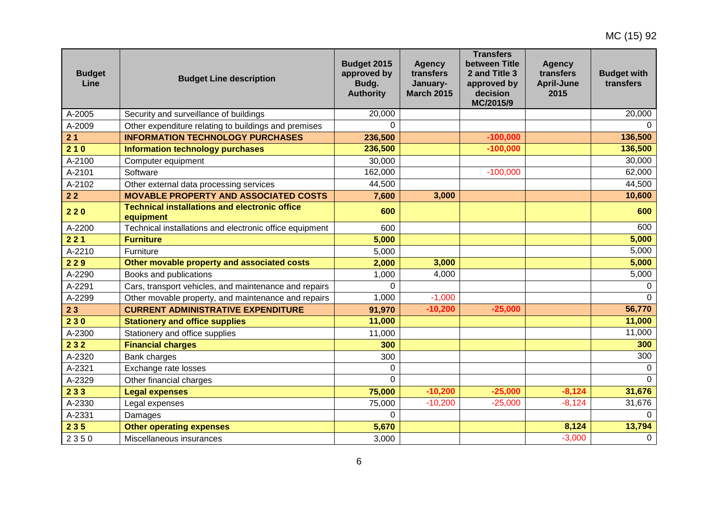| <b>Budget</b><br>Line | <b>Budget Line description</b>                                    | Budget 2015<br>approved by<br>Budg.<br><b>Authority</b> | <b>Agency</b><br>transfers<br>January-<br><b>March 2015</b> | <b>Transfers</b><br>between Title<br>2 and Title 3<br>approved by<br>decision<br>MC/2015/9 | <b>Agency</b><br>transfers<br><b>April-June</b><br>2015 | <b>Budget with</b><br>transfers |
|-----------------------|-------------------------------------------------------------------|---------------------------------------------------------|-------------------------------------------------------------|--------------------------------------------------------------------------------------------|---------------------------------------------------------|---------------------------------|
| A-2005                | Security and surveillance of buildings                            | 20,000                                                  |                                                             |                                                                                            |                                                         | 20,000                          |
| A-2009                | Other expenditure relating to buildings and premises              | $\Omega$                                                |                                                             |                                                                                            |                                                         | $\Omega$                        |
| 21                    | <b>INFORMATION TECHNOLOGY PURCHASES</b>                           | 236,500                                                 |                                                             | $-100,000$                                                                                 |                                                         | 136,500                         |
| 210                   | <b>Information technology purchases</b>                           | 236,500                                                 |                                                             | $-100,000$                                                                                 |                                                         | 136,500                         |
| A-2100                | Computer equipment                                                | 30,000                                                  |                                                             |                                                                                            |                                                         | 30,000                          |
| A-2101                | Software                                                          | 162,000                                                 |                                                             | $-100,000$                                                                                 |                                                         | 62,000                          |
| A-2102                | Other external data processing services                           | 44,500                                                  |                                                             |                                                                                            |                                                         | 44,500                          |
| $22$                  | <b>MOVABLE PROPERTY AND ASSOCIATED COSTS</b>                      | 7,600                                                   | 3,000                                                       |                                                                                            |                                                         | 10,600                          |
| 220                   | <b>Technical installations and electronic office</b><br>equipment | 600                                                     |                                                             |                                                                                            |                                                         | 600                             |
| A-2200                | Technical installations and electronic office equipment           | 600                                                     |                                                             |                                                                                            |                                                         | 600                             |
| 221                   | <b>Furniture</b>                                                  | 5,000                                                   |                                                             |                                                                                            |                                                         | 5,000                           |
| A-2210                | Furniture                                                         | 5,000                                                   |                                                             |                                                                                            |                                                         | 5,000                           |
| 229                   | Other movable property and associated costs                       | 2,000                                                   | 3,000                                                       |                                                                                            |                                                         | 5,000                           |
| A-2290                | Books and publications                                            | 1,000                                                   | 4,000                                                       |                                                                                            |                                                         | 5,000                           |
| A-2291                | Cars, transport vehicles, and maintenance and repairs             | $\Omega$                                                |                                                             |                                                                                            |                                                         | $\Omega$                        |
| A-2299                | Other movable property, and maintenance and repairs               | 1,000                                                   | $-1,000$                                                    |                                                                                            |                                                         | $\Omega$                        |
| 23                    | <b>CURRENT ADMINISTRATIVE EXPENDITURE</b>                         | 91,970                                                  | $-10,200$                                                   | $-25,000$                                                                                  |                                                         | 56,770                          |
| 230                   | <b>Stationery and office supplies</b>                             | 11,000                                                  |                                                             |                                                                                            |                                                         | 11,000                          |
| A-2300                | Stationery and office supplies                                    | 11,000                                                  |                                                             |                                                                                            |                                                         | 11,000                          |
| 232                   | <b>Financial charges</b>                                          | 300                                                     |                                                             |                                                                                            |                                                         | 300                             |
| A-2320                | Bank charges                                                      | 300                                                     |                                                             |                                                                                            |                                                         | 300                             |
| A-2321                | Exchange rate losses                                              | $\Omega$                                                |                                                             |                                                                                            |                                                         | $\Omega$                        |
| A-2329                | Other financial charges                                           | $\overline{0}$                                          |                                                             |                                                                                            |                                                         | $\Omega$                        |
| 233                   | <b>Legal expenses</b>                                             | 75,000                                                  | $-10,200$                                                   | $-25,000$                                                                                  | $-8,124$                                                | 31,676                          |
| A-2330                | Legal expenses                                                    | 75,000                                                  | $-10,200$                                                   | $-25,000$                                                                                  | $-8,124$                                                | 31,676                          |
| A-2331                | Damages                                                           | $\Omega$                                                |                                                             |                                                                                            |                                                         | $\Omega$                        |
| 235                   | <b>Other operating expenses</b>                                   | 5,670                                                   |                                                             |                                                                                            | 8,124                                                   | 13,794                          |
| 2350                  | Miscellaneous insurances                                          | 3,000                                                   |                                                             |                                                                                            | $-3,000$                                                | $\mathbf 0$                     |